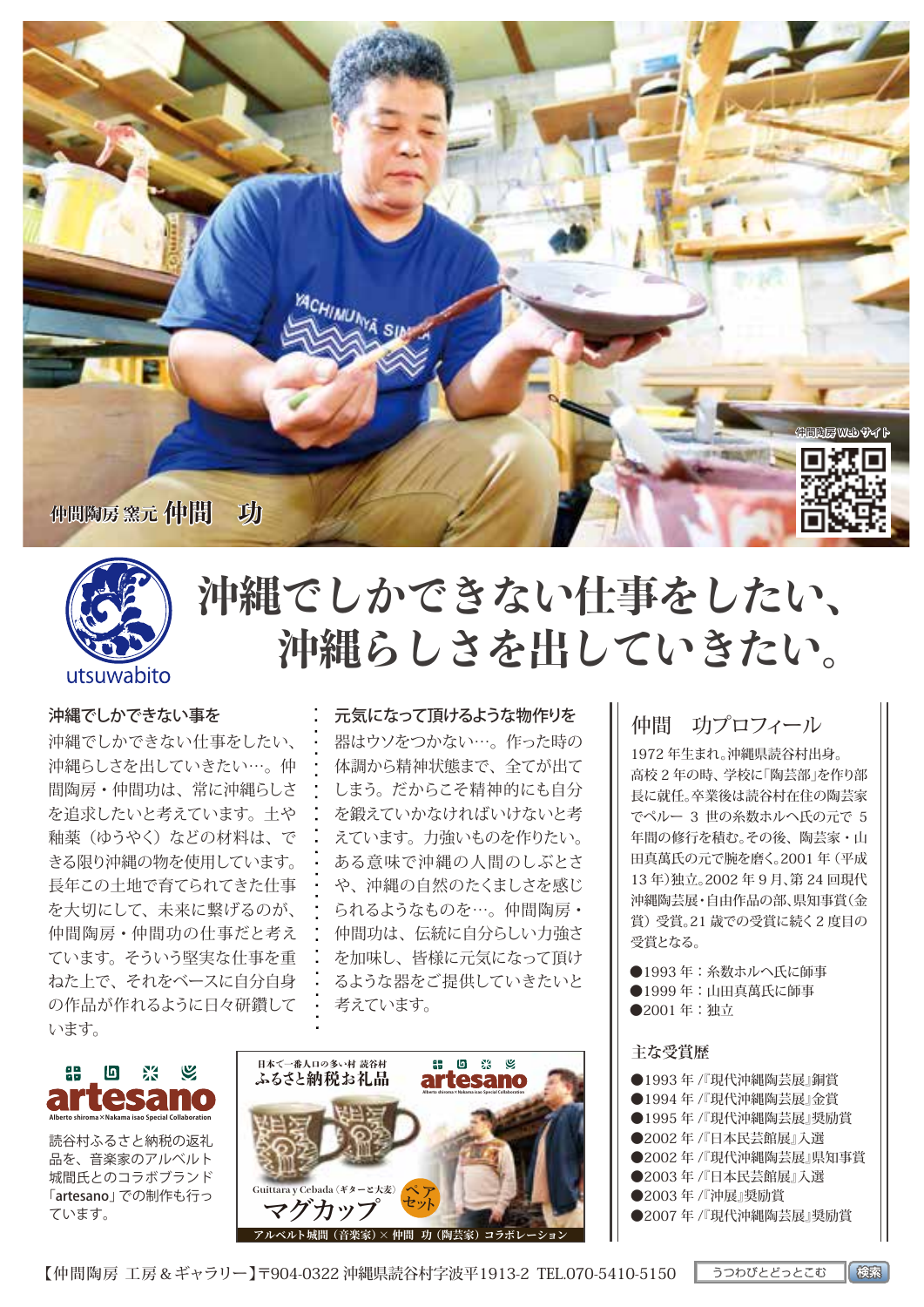



# **沖縄でしかできない仕事をしたい、 沖縄らしさを出していきたい。**

#### 沖縄でしかできない事を

沖縄でしかできない仕事をしたい、 沖縄らしさを出していきたい…。仲 間陶房・仲間功は、常に沖縄らしさ を追求したいと考えています。土や 釉薬(ゆうやく)などの材料は、で きる限り沖縄の物を使用しています。 長年この土地で育てられてきた仕事 を大切にして、未来に繋げるのが、 仲間陶房・仲間功の仕事だと考え ています。そういう堅実な仕事を重 ねた上で、それをベースに自分自身 の作品が作れるように日々研鑽して います。

#### 元気になって頂けるような物作りを

器はウソをつかない…。作った時の 体調から精神状態まで、全てが出て しまう。だからこそ精神的にも自分 を鍛えていかなければいけないと考 えています。力強いものを作りたい。 ある意味で沖縄の人間のしぶとさ や、沖縄の自然のたくましさを感じ られるようなものを…。仲間陶房・ 仲間功は、伝統に自分らしい力強さ を加味し、皆様に元気になって頂け るような器をご提供していきたいと 考えています。

# **Alberto shiroma×Nakama isao Special Collaboration**

読谷村ふるさと納税の返礼 品を、音楽家のアルベルト 城間氏とのコラボブランド 「artesano」での制作も行っ ています。



### 仲間 功プロフィール

1972 年生まれ。沖縄県読谷村出身。 高校 2 年の時、学校に「陶芸部」を作り部 長に就任。卒業後は読谷村在住の陶芸家 でペルー 3 世の糸数ホルヘ氏の元で 5 年間の修行を積む。その後、陶芸家・山 田真萬氏の元で腕を磨く。2001 年(平成 13 年)独立。2002 年 9 月、第 24 回現代 沖縄陶芸展・自由作品の部、県知事賞(金 賞)受賞。21 歳での受賞に続く2 度目の 受賞となる。

●1993年:糸数ホルヘ氏に師事 ●1999年:山田真萬氏に師事 ●2001年:独立

#### **主な受賞歴**

●1993 年 /『現代沖縄陶芸展』銅賞 ●1994年/『現代沖縄陶芸展』金営 ●1995 年 /『現代沖縄陶芸展』奨励賞 ●2002年 /『日本民芸館展』入選 ●2002 年 /『現代沖縄陶芸展』県知事賞 ●2003年/『日本民芸館展』入選 ●2003 年 /『沖展』奨励賞 ●2007年/『現代沖縄陶芸展』奨励賞